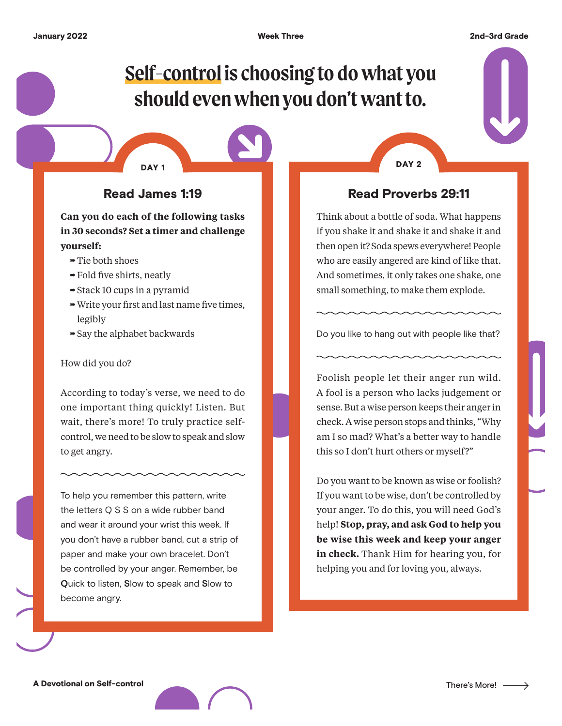# **Self-control is choosing to do what you should even when you don't want to.**

# Read James 1:19

DAY<sub>1</sub>

#### **Can you do each of the following tasks in 30 seconds? Set a timer and challenge yourself:**

- $\rightarrow$  Tie both shoes
- $\rightarrow$  Fold five shirts, neatly
- $\rightarrow$  Stack 10 cups in a pyramid
- $\rightarrow$  Write your first and last name five times, legibly
- $\rightarrow$  Say the alphabet backwards

#### How did you do?

According to today's verse, we need to do one important thing quickly! Listen. But wait, there's more! To truly practice selfcontrol, we need to be slow to speak and slow to get angry.

To help you remember this pattern, write the letters Q S S on a wide rubber band and wear it around your wrist this week. If you don't have a rubber band, cut a strip of paper and make your own bracelet. Don't be controlled by your anger. Remember, be **Q**uick to listen, **S**low to speak and **S**low to become angry.

DAY<sub>2</sub>

### Read Proverbs 29:11

Think about a bottle of soda. What happens if you shake it and shake it and shake it and then open it? Soda spews everywhere! People who are easily angered are kind of like that. And sometimes, it only takes one shake, one small something, to make them explode.

Do you like to hang out with people like that?

Foolish people let their anger run wild. A fool is a person who lacks judgement or sense. But a wise person keeps their anger in check. A wise person stops and thinks, "Why am I so mad? What's a better way to handle this so I don't hurt others or myself?"

Do you want to be known as wise or foolish? If you want to be wise, don't be controlled by your anger. To do this, you will need God's help! **Stop, pray, and ask God to help you be wise this week and keep your anger in check.** Thank Him for hearing you, for helping you and for loving you, always.

A Devotional on Self-control

 $\rightarrow$